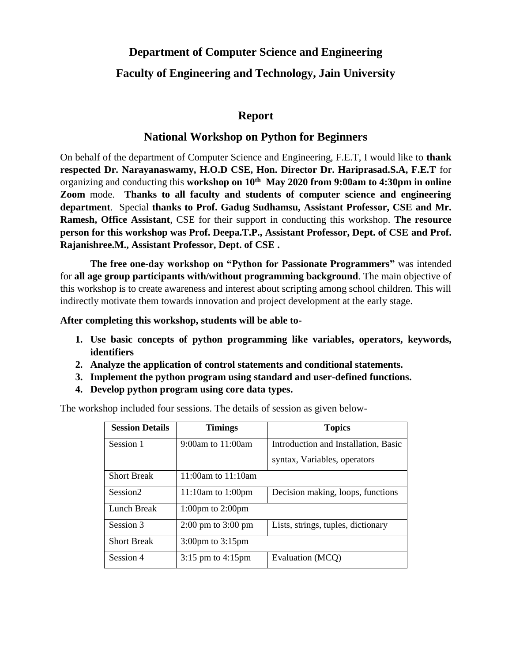## **Department of Computer Science and Engineering**

## **Faculty of Engineering and Technology, Jain University**

### **Report**

#### **National Workshop on Python for Beginners**

On behalf of the department of Computer Science and Engineering, F.E.T, I would like to **thank respected Dr. Narayanaswamy, H.O.D CSE, Hon. Director Dr. Hariprasad.S.A, F.E.T** for organizing and conducting this **workshop on 10th May 2020 from 9:00am to 4:30pm in online Zoom** mode. **Thanks to all faculty and students of computer science and engineering department**. Special **thanks to Prof. Gadug Sudhamsu, Assistant Professor, CSE and Mr. Ramesh, Office Assistant**, CSE for their support in conducting this workshop. **The resource person for this workshop was Prof. Deepa.T.P., Assistant Professor, Dept. of CSE and Prof. Rajanishree.M., Assistant Professor, Dept. of CSE .**

**The free one-day workshop on "Python for Passionate Programmers"** was intended for **all age group participants with/without programming background**. The main objective of this workshop is to create awareness and interest about scripting among school children. This will indirectly motivate them towards innovation and project development at the early stage.

**After completing this workshop, students will be able to-**

- **1. Use basic concepts of python programming like variables, operators, keywords, identifiers**
- **2. Analyze the application of control statements and conditional statements.**
- **3. Implement the python program using standard and user-defined functions.**
- **4. Develop python program using core data types.**

The workshop included four sessions. The details of session as given below-

| <b>Session Details</b> | <b>Timings</b>                         | <b>Topics</b>                        |
|------------------------|----------------------------------------|--------------------------------------|
| Session 1              | 9:00am to $11:00$ am                   | Introduction and Installation, Basic |
|                        |                                        | syntax, Variables, operators         |
| <b>Short Break</b>     | 11:00am to 11:10am                     |                                      |
| Session <sub>2</sub>   | 11:10am to 1:00pm                      | Decision making, loops, functions    |
| Lunch Break            | $1:00 \text{pm}$ to $2:00 \text{pm}$   |                                      |
| Session 3              | $2:00 \text{ pm}$ to $3:00 \text{ pm}$ | Lists, strings, tuples, dictionary   |
| <b>Short Break</b>     | $3:00 \text{pm}$ to $3:15 \text{pm}$   |                                      |
| Session 4              | $3:15$ pm to $4:15$ pm                 | Evaluation (MCQ)                     |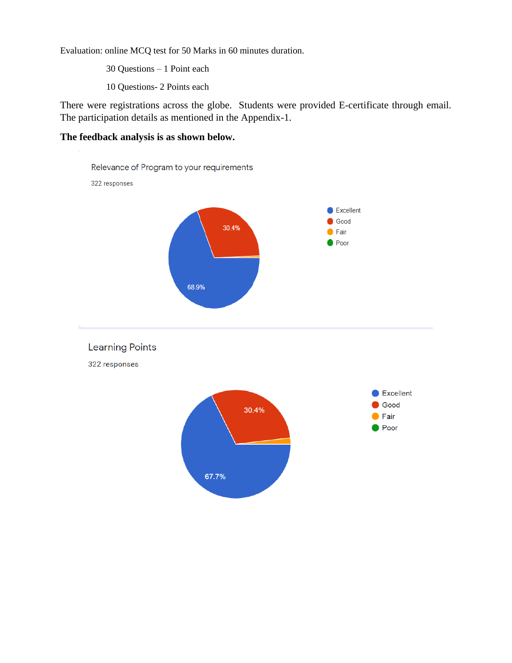Evaluation: online MCQ test for 50 Marks in 60 minutes duration.

30 Questions – 1 Point each

10 Questions- 2 Points each

There were registrations across the globe. Students were provided E-certificate through email. The participation details as mentioned in the Appendix-1.

### **The feedback analysis is as shown below.**

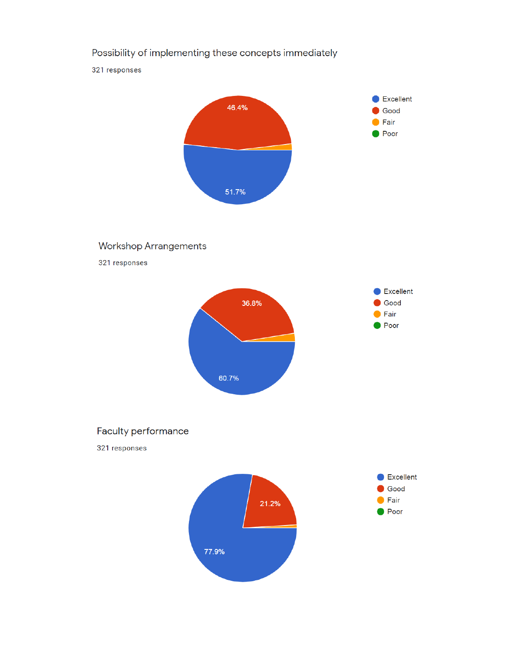## Possibility of implementing these concepts immediately

321 responses

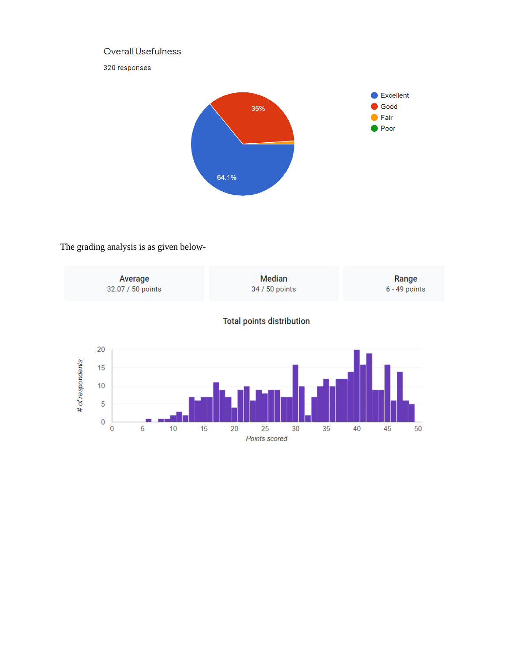### Overall Usefulness

320 responses



## The grading analysis is as given below-

|                  |                       | Average<br>32.07 / 50 points |    |    | <b>Median</b><br>34 / 50 points  |                     |    |    |    | Range<br>6 - 49 points |    |  |
|------------------|-----------------------|------------------------------|----|----|----------------------------------|---------------------|----|----|----|------------------------|----|--|
|                  |                       |                              |    |    | <b>Total points distribution</b> |                     |    |    |    |                        |    |  |
| # of respondents | 20<br>15<br>10        |                              |    |    |                                  |                     |    |    |    |                        |    |  |
|                  | 5<br>$\mathbf 0$<br>0 | 5                            | 10 | 15 | 20                               | 25<br>Points scored | 30 | 35 | 40 | 45                     | 50 |  |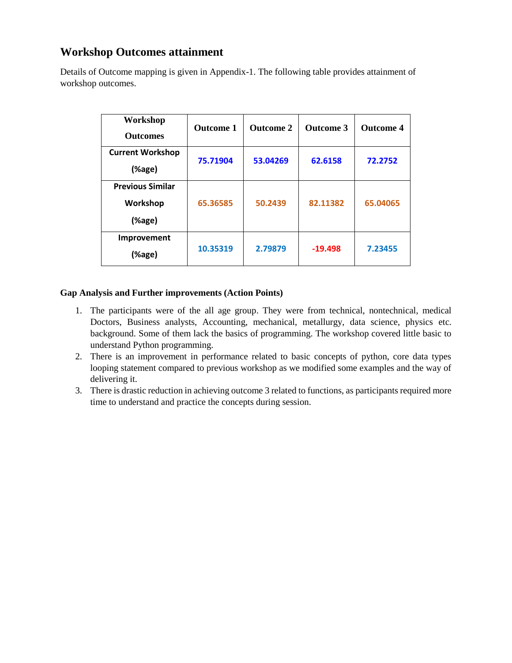## **Workshop Outcomes attainment**

Details of Outcome mapping is given in Appendix-1. The following table provides attainment of workshop outcomes.

| Workshop<br><b>Outcomes</b>                   | <b>Outcome 1</b> | <b>Outcome 2</b> | <b>Outcome 3</b> | <b>Outcome 4</b> |
|-----------------------------------------------|------------------|------------------|------------------|------------------|
| <b>Current Workshop</b><br>(%age)             | 75.71904         | 53.04269         | 62.6158          | 72.2752          |
| <b>Previous Similar</b><br>Workshop<br>(%age) | 65.36585         | 50.2439          | 82.11382         | 65.04065         |
| <b>Improvement</b><br>(%age)                  | 10.35319         | 2.79879          | $-19.498$        | 7.23455          |

#### **Gap Analysis and Further improvements (Action Points)**

- 1. The participants were of the all age group. They were from technical, nontechnical, medical Doctors, Business analysts, Accounting, mechanical, metallurgy, data science, physics etc. background. Some of them lack the basics of programming. The workshop covered little basic to understand Python programming.
- 2. There is an improvement in performance related to basic concepts of python, core data types looping statement compared to previous workshop as we modified some examples and the way of delivering it.
- 3. There is drastic reduction in achieving outcome 3 related to functions, as participants required more time to understand and practice the concepts during session.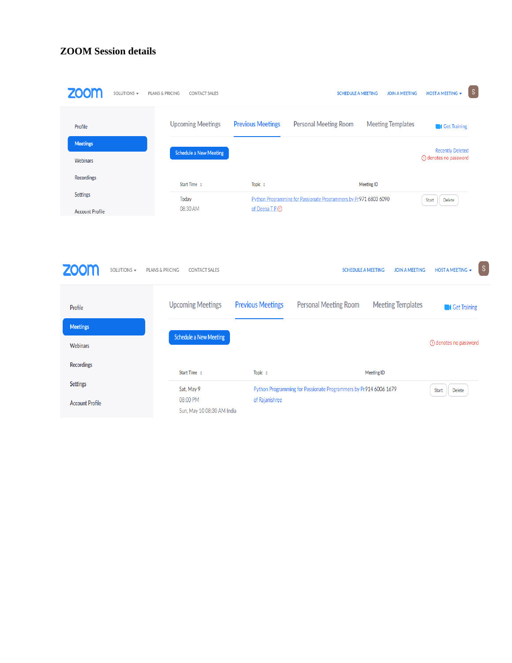### **ZOOM Session details**

| SOLUTIONS -                        | PLANS & PRICING<br><b>CONTACT SALES</b> |                          | <b>SCHEDULE A MEETING</b>                                        | <b>JOIN A MEETING</b>                              | $\mathsf S$<br>HOST A MEETING -                    |
|------------------------------------|-----------------------------------------|--------------------------|------------------------------------------------------------------|----------------------------------------------------|----------------------------------------------------|
| Profile                            | <b>Upcoming Meetings</b>                | <b>Previous Meetings</b> | <b>Personal Meeting Room</b>                                     | <b>Meeting Templates</b>                           | <b>Cet Training</b>                                |
| <b>Meetings</b><br><b>Webinars</b> | <b>Schedule a New Meeting</b>           |                          |                                                                  |                                                    | <b>Recently Deleted</b><br>(!) denotes no password |
| <b>Recordings</b>                  | Start Time $\Leftrightarrow$            | Topic $\div$             |                                                                  | Meeting ID                                         |                                                    |
| Settings<br><b>Account Profile</b> | Today<br>08:30 AM                       | of Deepa T P (1)         | Python Programming for Passionate Programmers by Pr971 6803 6090 |                                                    | Delete<br>Start                                    |
|                                    |                                         |                          |                                                                  |                                                    |                                                    |
| SOLUTIONS -                        | PLANS & PRICING<br><b>CONTACT SALES</b> |                          |                                                                  | <b>SCHEDULE A MEETING</b><br><b>JOIN A MEETING</b> | $\vert$ S<br>HOST A MEETING -                      |
| Profile                            | <b>Upcoming Meetings</b>                | <b>Previous Meetings</b> | <b>Personal Meeting Room</b>                                     | <b>Meeting Templates</b>                           | <b>C</b> Get Training                              |
| <b>Meetings</b>                    | <b>Schedule a New Meeting</b>           |                          |                                                                  |                                                    | (!) denotes no password                            |
| Webinars<br>Recordings             |                                         |                          |                                                                  |                                                    |                                                    |
| Settings                           | Start Time $\div$<br>Sat, May 9         | Topic $\div$             | Python Programming for Passionate Programmers by Pr914 6006 1679 | <b>Meeting ID</b>                                  | Delete<br>Start                                    |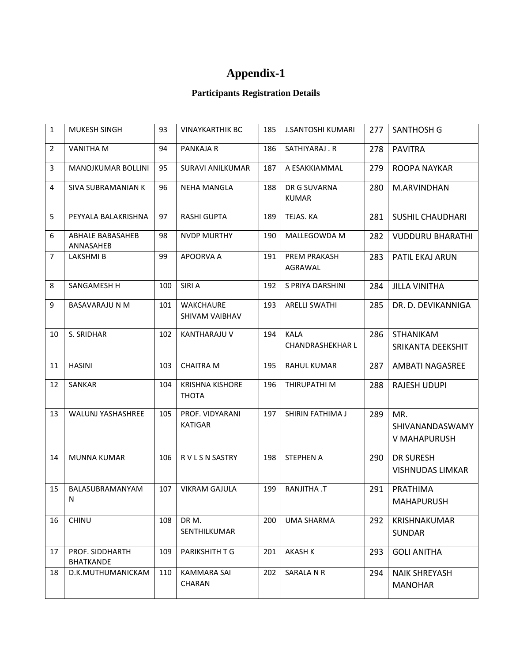# **Appendix-1**

## **Participants Registration Details**

| $\mathbf{1}$   | <b>MUKESH SINGH</b>                  | 93  | <b>VINAYKARTHIK BC</b>                 | 185 | <b>J.SANTOSHI KUMARI</b>               | 277 | <b>SANTHOSH G</b>                           |
|----------------|--------------------------------------|-----|----------------------------------------|-----|----------------------------------------|-----|---------------------------------------------|
| 2              | <b>VANITHA M</b>                     | 94  | PANKAJA R                              | 186 | SATHIYARAJ.R                           | 278 | <b>PAVITRA</b>                              |
| 3              | <b>MANOJKUMAR BOLLINI</b>            | 95  | <b>SURAVI ANILKUMAR</b>                | 187 | A ESAKKIAMMAL                          | 279 | <b>ROOPA NAYKAR</b>                         |
| 4              | SIVA SUBRAMANIAN K                   | 96  | <b>NEHA MANGLA</b>                     | 188 | DR G SUVARNA<br><b>KUMAR</b>           | 280 | M.ARVINDHAN                                 |
| 5              | PEYYALA BALAKRISHNA                  | 97  | <b>RASHI GUPTA</b>                     | 189 | TEJAS. KA                              | 281 | <b>SUSHIL CHAUDHARI</b>                     |
| 6              | <b>ABHALE BABASAHEB</b><br>ANNASAHEB | 98  | <b>NVDP MURTHY</b>                     | 190 | MALLEGOWDA M                           | 282 | <b>VUDDURU BHARATHI</b>                     |
| $\overline{7}$ | LAKSHMI B                            | 99  | APOORVA A                              | 191 | PREM PRAKASH<br>AGRAWAL                | 283 | PATIL EKAJ ARUN                             |
| 8              | SANGAMESH H                          | 100 | SIRI A                                 | 192 | S PRIYA DARSHINI                       | 284 | <b>JILLA VINITHA</b>                        |
| 9              | <b>BASAVARAJU N M</b>                | 101 | <b>WAKCHAURE</b><br>SHIVAM VAIBHAV     | 193 | <b>ARELLI SWATHI</b>                   | 285 | DR. D. DEVIKANNIGA                          |
| 10             | S. SRIDHAR                           | 102 | KANTHARAJU V                           | 194 | <b>KALA</b><br><b>CHANDRASHEKHAR L</b> | 286 | <b>STHANIKAM</b><br>SRIKANTA DEEKSHIT       |
| 11             | <b>HASINI</b>                        | 103 | <b>CHAITRA M</b>                       | 195 | <b>RAHUL KUMAR</b>                     | 287 | AMBATI NAGASREE                             |
| 12             | SANKAR                               | 104 | <b>KRISHNA KISHORE</b><br><b>THOTA</b> | 196 | THIRUPATHI M                           | 288 | <b>RAJESH UDUPI</b>                         |
| 13             | <b>WALUNJ YASHASHREE</b>             | 105 | PROF. VIDYARANI<br><b>KATIGAR</b>      | 197 | SHIRIN FATHIMA J                       | 289 | MR.<br>SHIVANANDASWAMY<br>V MAHAPURUSH      |
| 14             | MUNNA KUMAR                          | 106 | R V L S N SASTRY                       | 198 | <b>STEPHEN A</b>                       | 290 | <b>DR SURESH</b><br><b>VISHNUDAS LIMKAR</b> |
| 15             | BALASUBRAMANYAM<br>N                 | 107 | <b>VIKRAM GAJULA</b>                   | 199 | <b>RANJITHA.T</b>                      | 291 | PRATHIMA<br><b>MAHAPURUSH</b>               |
| 16             | CHINU                                | 108 | DR M.<br>SENTHILKUMAR                  | 200 | UMA SHARMA                             | 292 | <b>KRISHNAKUMAR</b><br><b>SUNDAR</b>        |
| 17             | PROF. SIDDHARTH<br><b>BHATKANDE</b>  | 109 | PARIKSHITH T G                         | 201 | <b>AKASH K</b>                         | 293 | <b>GOLI ANITHA</b>                          |
| 18             | D.K.MUTHUMANICKAM                    | 110 | <b>KAMMARA SAI</b><br>CHARAN           | 202 | SARALA N R                             | 294 | <b>NAIK SHREYASH</b><br><b>MANOHAR</b>      |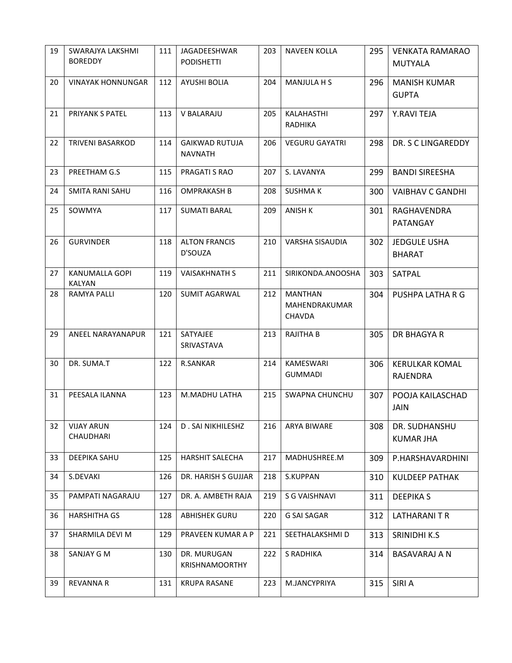| 19 | SWARAJYA LAKSHMI<br><b>BOREDDY</b> | 111 | JAGADEESHWAR<br><b>PODISHETTI</b>       | 203 | <b>NAVEEN KOLLA</b>                              | 295 | <b>VENKATA RAMARAO</b><br><b>MUTYALA</b> |
|----|------------------------------------|-----|-----------------------------------------|-----|--------------------------------------------------|-----|------------------------------------------|
| 20 | <b>VINAYAK HONNUNGAR</b>           | 112 | <b>AYUSHI BOLIA</b>                     | 204 | MANJULA H S                                      | 296 | <b>MANISH KUMAR</b><br><b>GUPTA</b>      |
| 21 | PRIYANK S PATEL                    | 113 | <b>V BALARAJU</b>                       | 205 | KALAHASTHI<br>RADHIKA                            | 297 | Y.RAVI TEJA                              |
| 22 | <b>TRIVENI BASARKOD</b>            | 114 | <b>GAIKWAD RUTUJA</b><br><b>NAVNATH</b> | 206 | <b>VEGURU GAYATRI</b>                            | 298 | DR. S C LINGAREDDY                       |
| 23 | PREETHAM G.S                       | 115 | PRAGATI S RAO                           | 207 | S. LAVANYA                                       | 299 | <b>BANDI SIREESHA</b>                    |
| 24 | <b>SMITA RANI SAHU</b>             | 116 | <b>OMPRAKASH B</b>                      | 208 | <b>SUSHMAK</b>                                   | 300 | <b>VAIBHAV C GANDHI</b>                  |
| 25 | SOWMYA                             | 117 | <b>SUMATI BARAL</b>                     | 209 | <b>ANISH K</b>                                   | 301 | <b>RAGHAVENDRA</b><br>PATANGAY           |
| 26 | <b>GURVINDER</b>                   | 118 | <b>ALTON FRANCIS</b><br>D'SOUZA         | 210 | VARSHA SISAUDIA                                  | 302 | <b>JEDGULE USHA</b><br><b>BHARAT</b>     |
| 27 | KANUMALLA GOPI<br><b>KALYAN</b>    | 119 | <b>VAISAKHNATH S</b>                    | 211 | SIRIKONDA.ANOOSHA                                | 303 | SATPAL                                   |
| 28 | <b>RAMYA PALLI</b>                 | 120 | <b>SUMIT AGARWAL</b>                    | 212 | <b>MANTHAN</b><br>MAHENDRAKUMAR<br><b>CHAVDA</b> | 304 | PUSHPA LATHA R G                         |
| 29 | ANEEL NARAYANAPUR                  | 121 | SATYAJEE<br><b>SRIVASTAVA</b>           | 213 | <b>RAJITHA B</b>                                 | 305 | DR BHAGYA R                              |
| 30 | DR. SUMA.T                         | 122 | <b>R.SANKAR</b>                         | 214 | KAMESWARI<br><b>GUMMADI</b>                      | 306 | <b>KERULKAR KOMAL</b><br>RAJENDRA        |
| 31 | PEESALA ILANNA                     | 123 | M.MADHU LATHA                           | 215 | <b>SWAPNA CHUNCHU</b>                            | 307 | POOJA KAILASCHAD<br><b>JAIN</b>          |
| 32 | <b>VIJAY ARUN</b><br>CHAUDHARI     | 124 | D. SAI NIKHILESHZ                       | 216 | ARYA BIWARE                                      | 308 | DR. SUDHANSHU<br><b>KUMAR JHA</b>        |
| 33 | DEEPIKA SAHU                       | 125 | <b>HARSHIT SALECHA</b>                  | 217 | MADHUSHREE.M                                     | 309 | P.HARSHAVARDHINI                         |
| 34 | S.DEVAKI                           | 126 | DR. HARISH S GUJJAR                     | 218 | S.KUPPAN                                         | 310 | <b>KULDEEP PATHAK</b>                    |
| 35 | PAMPATI NAGARAJU                   | 127 | DR. A. AMBETH RAJA                      | 219 | S G VAISHNAVI                                    | 311 | <b>DEEPIKAS</b>                          |
| 36 | <b>HARSHITHA GS</b>                | 128 | <b>ABHISHEK GURU</b>                    | 220 | <b>G SAI SAGAR</b>                               | 312 | LATHARANI T R                            |
| 37 | SHARMILA DEVI M                    | 129 | PRAVEEN KUMAR A P                       | 221 | SEETHALAKSHMI D                                  | 313 | SRINIDHI K.S                             |
| 38 | SANJAY G M                         | 130 | DR. MURUGAN<br><b>KRISHNAMOORTHY</b>    | 222 | S RADHIKA                                        | 314 | BASAVARAJ A N                            |
| 39 | <b>REVANNA R</b>                   | 131 | <b>KRUPA RASANE</b>                     | 223 | M.JANCYPRIYA                                     | 315 | SIRI A                                   |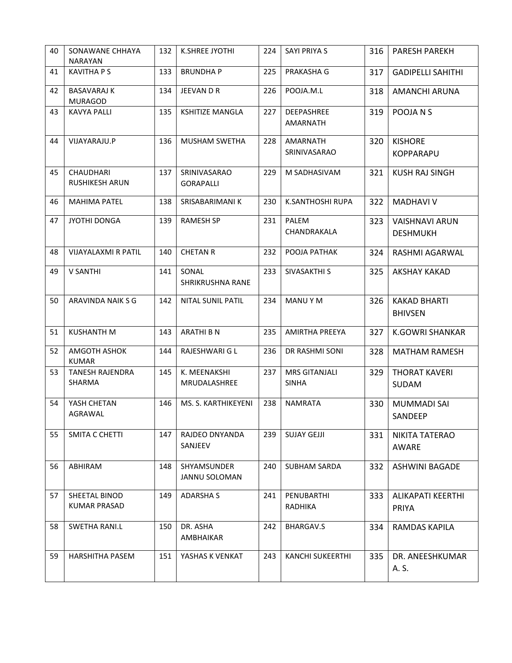| 40 | SONAWANE CHHAYA<br><b>NARAYAN</b>         | 132 | K.SHREE JYOTHI                   | 224 | <b>SAYI PRIYA S</b>                  | 316 | <b>PARESH PAREKH</b>                     |
|----|-------------------------------------------|-----|----------------------------------|-----|--------------------------------------|-----|------------------------------------------|
| 41 | <b>KAVITHA P S</b>                        | 133 | <b>BRUNDHAP</b>                  | 225 | PRAKASHA G                           | 317 | <b>GADIPELLI SAHITHI</b>                 |
| 42 | <b>BASAVARAJ K</b><br><b>MURAGOD</b>      | 134 | JEEVAN D R                       | 226 | POOJA.M.L                            | 318 | AMANCHI ARUNA                            |
| 43 | <b>KAVYA PALLI</b>                        | 135 | <b>KSHITIZE MANGLA</b>           | 227 | DEEPASHREE<br><b>AMARNATH</b>        | 319 | POOJA N S                                |
| 44 | VIJAYARAJU.P                              | 136 | MUSHAM SWETHA                    | 228 | <b>AMARNATH</b><br>SRINIVASARAO      | 320 | <b>KISHORE</b><br><b>KOPPARAPU</b>       |
| 45 | <b>CHAUDHARI</b><br><b>RUSHIKESH ARUN</b> | 137 | SRINIVASARAO<br><b>GORAPALLI</b> | 229 | M SADHASIVAM                         | 321 | <b>KUSH RAJ SINGH</b>                    |
| 46 | <b>MAHIMA PATEL</b>                       | 138 | SRISABARIMANI K                  | 230 | K.SANTHOSHI RUPA                     | 322 | <b>MADHAVI V</b>                         |
| 47 | JYOTHI DONGA                              | 139 | <b>RAMESH SP</b>                 | 231 | PALEM<br>CHANDRAKALA                 | 323 | <b>VAISHNAVI ARUN</b><br><b>DESHMUKH</b> |
| 48 | VIJAYALAXMI R PATIL                       | 140 | <b>CHETAN R</b>                  | 232 | POOJA PATHAK                         | 324 | RASHMI AGARWAL                           |
| 49 | <b>V SANTHI</b>                           | 141 | SONAL<br>SHRIKRUSHNA RANE        | 233 | SIVASAKTHI S                         | 325 | <b>AKSHAY KAKAD</b>                      |
| 50 | ARAVINDA NAIK S G                         | 142 | NITAL SUNIL PATIL                | 234 | MANU Y M                             | 326 | <b>KAKAD BHARTI</b><br><b>BHIVSEN</b>    |
| 51 | <b>KUSHANTH M</b>                         | 143 | <b>ARATHI B N</b>                | 235 | <b>AMIRTHA PREEYA</b>                | 327 | <b>K.GOWRI SHANKAR</b>                   |
| 52 | AMGOTH ASHOK<br><b>KUMAR</b>              | 144 | RAJESHWARI G L                   | 236 | DR RASHMI SONI                       | 328 | <b>MATHAM RAMESH</b>                     |
| 53 | <b>TANESH RAJENDRA</b><br>SHARMA          | 145 | K. MEENAKSHI<br>MRUDALASHREE     | 237 | <b>MRS GITANJALI</b><br><b>SINHA</b> | 329 | <b>THORAT KAVERI</b><br><b>SUDAM</b>     |
| 54 | YASH CHETAN<br>AGRAWAL                    | 146 | MS. S. KARTHIKEYENI              | 238 | <b>NAMRATA</b>                       | 330 | <b>MUMMADI SAI</b><br>SANDEEP            |
| 55 | SMITA C CHETTI                            | 147 | RAJDEO DNYANDA<br>SANJEEV        | 239 | <b>SUJAY GEJJI</b>                   | 331 | NIKITA TATERAO<br>AWARE                  |
| 56 | ABHIRAM                                   | 148 | SHYAMSUNDER<br>JANNU SOLOMAN     | 240 | <b>SUBHAM SARDA</b>                  | 332 | <b>ASHWINI BAGADE</b>                    |
| 57 | SHEETAL BINOD<br><b>KUMAR PRASAD</b>      | 149 | <b>ADARSHA S</b>                 | 241 | PENUBARTHI<br>RADHIKA                | 333 | <b>ALIKAPATI KEERTHI</b><br>PRIYA        |
| 58 | <b>SWETHA RANI.L</b>                      | 150 | DR. ASHA<br>AMBHAIKAR            | 242 | BHARGAV.S                            | 334 | RAMDAS KAPILA                            |
| 59 | <b>HARSHITHA PASEM</b>                    | 151 | YASHAS K VENKAT                  | 243 | <b>KANCHI SUKEERTHI</b>              | 335 | DR. ANEESHKUMAR<br>A. S.                 |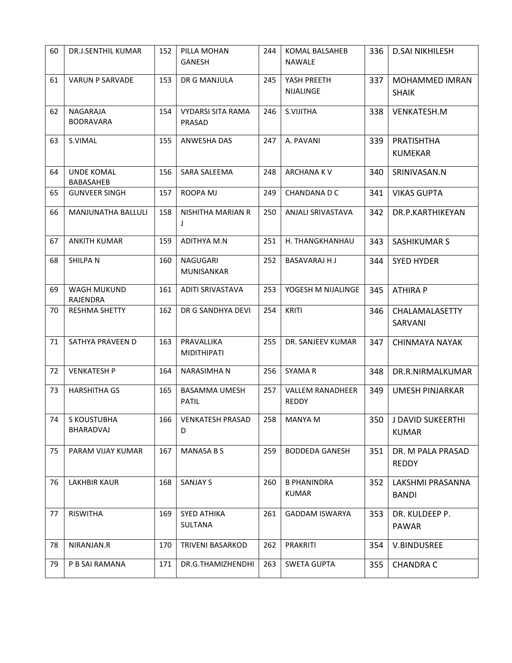| 60 | <b>DR.J.SENTHIL KUMAR</b>      | 152 | PILLA MOHAN<br><b>GANESH</b>              | 244 | KOMAL BALSAHEB<br><b>NAWALE</b>         | 336 | <b>D.SAI NIKHILESH</b>                |  |
|----|--------------------------------|-----|-------------------------------------------|-----|-----------------------------------------|-----|---------------------------------------|--|
| 61 | VARUN P SARVADE                | 153 | DR G MANJULA                              | 245 | YASH PREETH<br><b>NIJALINGE</b>         | 337 | MOHAMMED IMRAN<br><b>SHAIK</b>        |  |
| 62 | NAGARAJA<br><b>BODRAVARA</b>   | 154 | <b>VYDARSI SITA RAMA</b><br><b>PRASAD</b> | 246 | S.VIJITHA                               | 338 | VENKATESH.M                           |  |
| 63 | S.VIMAL                        | 155 | ANWESHA DAS                               | 247 | A. PAVANI                               | 339 | PRATISHTHA<br><b>KUMEKAR</b>          |  |
| 64 | <b>UNDE KOMAL</b><br>BABASAHEB | 156 | SARA SALEEMA                              | 248 | ARCHANA KV                              | 340 | SRINIVASAN.N                          |  |
| 65 | <b>GUNVEER SINGH</b>           | 157 | ROOPA MJ                                  | 249 | CHANDANA D C                            | 341 | <b>VIKAS GUPTA</b>                    |  |
| 66 | MANJUNATHA BALLULI             | 158 | NISHITHA MARIAN R<br>J                    | 250 | ANJALI SRIVASTAVA                       | 342 | DR.P.KARTHIKEYAN                      |  |
| 67 | <b>ANKITH KUMAR</b>            | 159 | ADITHYA M.N                               | 251 | H. THANGKHANHAU                         | 343 | <b>SASHIKUMAR S</b>                   |  |
| 68 | SHILPA N                       | 160 | NAGUGARI<br><b>MUNISANKAR</b>             | 252 | <b>BASAVARAJ HJ</b>                     | 344 | <b>SYED HYDER</b>                     |  |
| 69 | WAGH MUKUND<br>RAJENDRA        | 161 | ADITI SRIVASTAVA                          | 253 | YOGESH M NIJALINGE                      | 345 | <b>ATHIRA P</b>                       |  |
| 70 | <b>RESHMA SHETTY</b>           | 162 | DR G SANDHYA DEVI                         | 254 | <b>KRITI</b>                            | 346 | CHALAMALASETTY<br>SARVANI             |  |
| 71 | SATHYA PRAVEEN D               | 163 | PRAVALLIKA<br><b>MIDITHIPATI</b>          | 255 | DR. SANJEEV KUMAR                       | 347 | <b>CHINMAYA NAYAK</b>                 |  |
| 72 | <b>VENKATESH P</b>             | 164 | <b>NARASIMHAN</b>                         | 256 | <b>SYAMAR</b>                           | 348 | DR.R.NIRMALKUMAR                      |  |
| 73 | <b>HARSHITHA GS</b>            | 165 | <b>BASAMMA UMESH</b><br><b>PATIL</b>      | 257 | <b>VALLEM RANADHEER</b><br><b>REDDY</b> | 349 | <b>UMESH PINJARKAR</b>                |  |
| 74 | S KOUSTUBHA<br>BHARADVAJ       | 166 | <b>VENKATESH PRASAD</b><br>D              | 258 | MANYA M                                 |     | 350 J DAVID SUKEERTHI<br><b>KUMAR</b> |  |
| 75 | PARAM VIJAY KUMAR              | 167 | <b>MANASA B S</b>                         | 259 | <b>BODDEDA GANESH</b>                   | 351 | DR. M PALA PRASAD<br><b>REDDY</b>     |  |
| 76 | <b>LAKHBIR KAUR</b>            | 168 | <b>SANJAY S</b>                           | 260 | <b>B PHANINDRA</b><br><b>KUMAR</b>      | 352 | LAKSHMI PRASANNA<br><b>BANDI</b>      |  |
| 77 | <b>RISWITHA</b>                | 169 | <b>SYED ATHIKA</b><br><b>SULTANA</b>      | 261 | <b>GADDAM ISWARYA</b>                   | 353 | DR. KULDEEP P.<br><b>PAWAR</b>        |  |
| 78 | NIRANJAN.R                     | 170 | <b>TRIVENI BASARKOD</b>                   | 262 | PRAKRITI                                | 354 | V.BINDUSREE                           |  |
| 79 | P B SAI RAMANA                 | 171 | DR.G.THAMIZHENDHI                         | 263 | <b>SWETA GUPTA</b>                      | 355 | <b>CHANDRA C</b>                      |  |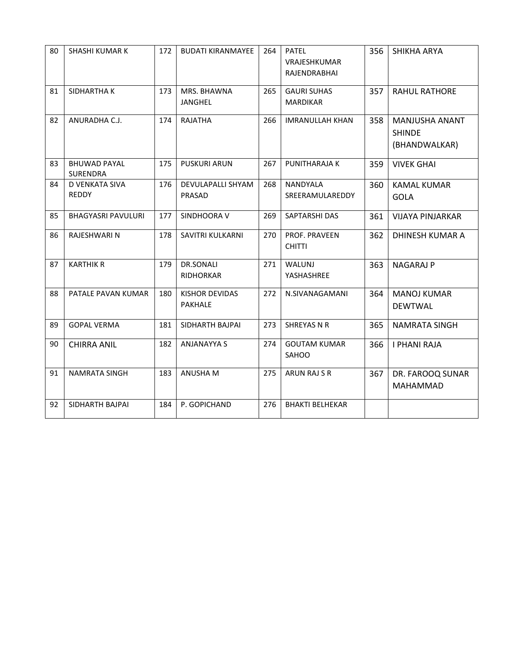| 80 | <b>SHASHI KUMAR K</b>                  | 172 | <b>BUDATI KIRANMAYEE</b>                | 264 | <b>PATEL</b><br>VRAJESHKUMAR<br>RAJENDRABHAI | 356 | SHIKHA ARYA                                      |
|----|----------------------------------------|-----|-----------------------------------------|-----|----------------------------------------------|-----|--------------------------------------------------|
| 81 | SIDHARTHA K                            | 173 | MRS. BHAWNA<br><b>JANGHEL</b>           | 265 | <b>GAURI SUHAS</b><br><b>MARDIKAR</b>        | 357 | <b>RAHUL RATHORE</b>                             |
| 82 | ANURADHA C.J.                          | 174 | <b>RAJATHA</b>                          | 266 | <b>IMRANULLAH KHAN</b>                       | 358 | MANJUSHA ANANT<br><b>SHINDE</b><br>(BHANDWALKAR) |
| 83 | <b>BHUWAD PAYAL</b><br><b>SURENDRA</b> | 175 | <b>PUSKURI ARUN</b>                     | 267 | PUNITHARAJA K                                | 359 | <b>VIVEK GHAI</b>                                |
| 84 | D VENKATA SIVA<br><b>REDDY</b>         | 176 | DEVULAPALLI SHYAM<br>PRASAD             | 268 | NANDYALA<br>SREERAMULAREDDY                  | 360 | <b>KAMAL KUMAR</b><br><b>GOLA</b>                |
| 85 | <b>BHAGYASRI PAVULURI</b>              | 177 | SINDHOORA V                             | 269 | SAPTARSHI DAS                                | 361 | <b>VIJAYA PINJARKAR</b>                          |
| 86 | RAJESHWARI N                           | 178 | SAVITRI KULKARNI                        | 270 | PROF. PRAVEEN<br><b>CHITTI</b>               | 362 | DHINESH KUMAR A                                  |
| 87 | <b>KARTHIK R</b>                       | 179 | <b>DR.SONALI</b><br><b>RIDHORKAR</b>    | 271 | WALUNJ<br>YASHASHREE                         | 363 | NAGARAJ P                                        |
| 88 | PATALE PAVAN KUMAR                     | 180 | <b>KISHOR DEVIDAS</b><br><b>PAKHALE</b> | 272 | N.SIVANAGAMANI                               | 364 | <b>MANOJ KUMAR</b><br><b>DEWTWAL</b>             |
| 89 | <b>GOPAL VERMA</b>                     | 181 | SIDHARTH BAJPAI                         | 273 | <b>SHREYAS N R</b>                           | 365 | <b>NAMRATA SINGH</b>                             |
| 90 | <b>CHIRRA ANIL</b>                     | 182 | <b>ANJANAYYA S</b>                      | 274 | <b>GOUTAM KUMAR</b><br>SAHOO                 | 366 | <b>I PHANI RAJA</b>                              |
| 91 | <b>NAMRATA SINGH</b>                   | 183 | ANUSHA M                                | 275 | ARUN RAJ S R                                 | 367 | DR. FAROOQ SUNAR<br>MAHAMMAD                     |
| 92 | SIDHARTH BAJPAI                        | 184 | P. GOPICHAND                            | 276 | <b>BHAKTI BELHEKAR</b>                       |     |                                                  |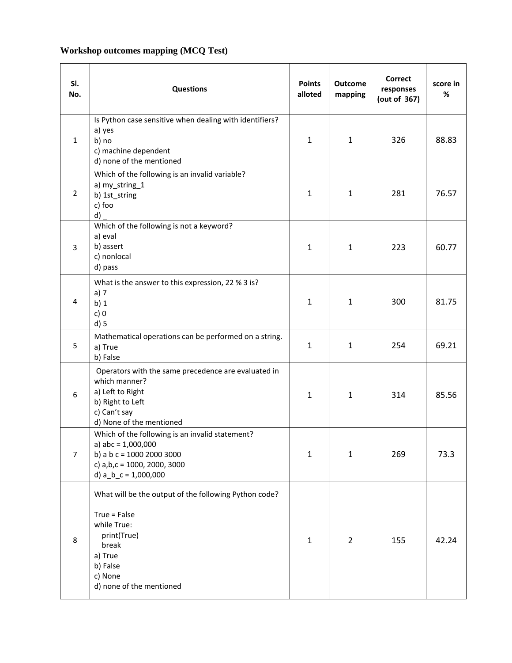## **Workshop outcomes mapping (MCQ Test)**

| SI.<br>No.     | <b>Questions</b>                                                                                                                                                             | <b>Points</b><br>alloted | <b>Outcome</b><br>mapping | <b>Correct</b><br>responses<br>(out of 367) | score in<br>% |
|----------------|------------------------------------------------------------------------------------------------------------------------------------------------------------------------------|--------------------------|---------------------------|---------------------------------------------|---------------|
| 1              | Is Python case sensitive when dealing with identifiers?<br>a) yes<br>b) no<br>c) machine dependent<br>d) none of the mentioned                                               | 1                        | $\mathbf{1}$              | 326                                         | 88.83         |
| $\overline{2}$ | Which of the following is an invalid variable?<br>a) my_string_1<br>b) 1st_string<br>c) foo<br>d)                                                                            | 1                        | $\mathbf{1}$              | 281                                         | 76.57         |
| 3              | Which of the following is not a keyword?<br>a) eval<br>b) assert<br>c) nonlocal<br>d) pass                                                                                   | $\mathbf{1}$             | $\mathbf{1}$              | 223                                         | 60.77         |
| 4              | What is the answer to this expression, 22 % 3 is?<br>a) $7$<br>$b)$ 1<br>c)0<br>$d$ ) 5                                                                                      | 1                        | 1                         | 300                                         | 81.75         |
| 5              | Mathematical operations can be performed on a string.<br>a) True<br>b) False                                                                                                 | $\mathbf{1}$             | $\mathbf{1}$              | 254                                         | 69.21         |
| 6              | Operators with the same precedence are evaluated in<br>which manner?<br>a) Left to Right<br>b) Right to Left<br>c) Can't say<br>d) None of the mentioned                     | 1                        | $\mathbf{1}$              | 314                                         | 85.56         |
| 7              | Which of the following is an invalid statement?<br>a) $abc = 1,000,000$<br>b) a $b c = 1000 2000 3000$<br>c) $a,b,c = 1000, 2000, 3000$<br>d) $a_b_c = 1,000,000$            | 1                        | $\mathbf{1}$              | 269                                         | 73.3          |
| 8              | What will be the output of the following Python code?<br>$True = False$<br>while True:<br>print(True)<br>break<br>a) True<br>b) False<br>c) None<br>d) none of the mentioned | $\mathbf{1}$             | $\overline{2}$            | 155                                         | 42.24         |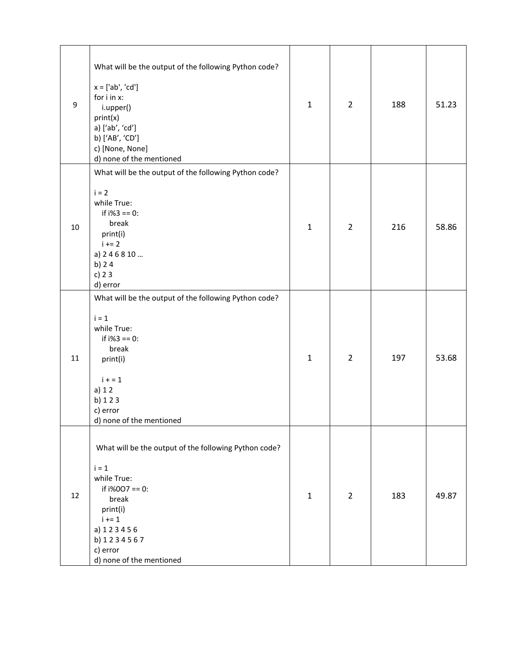| $\boldsymbol{9}$ | What will be the output of the following Python code?<br>$x = ['ab', 'cd']$<br>for i in x:<br>i.upper()<br>print(x)<br>a) ['ab', 'cd']<br>b) ['AB', 'CD']<br>c) [None, None]<br>d) none of the mentioned | $\mathbf{1}$ | $\overline{2}$ | 188 | 51.23 |
|------------------|----------------------------------------------------------------------------------------------------------------------------------------------------------------------------------------------------------|--------------|----------------|-----|-------|
| 10               | What will be the output of the following Python code?<br>$i = 2$<br>while True:<br>if $i\frac{1}{3} = 0$ :<br>break<br>print(i)<br>$i + 2$<br>a) 246810<br>b) $24$<br>c) $23$<br>d) error                | $\mathbf{1}$ | $\overline{2}$ | 216 | 58.86 |
| 11               | What will be the output of the following Python code?<br>$i = 1$<br>while True:<br>if $i\frac{1}{3} = 0$ :<br>break<br>print(i)<br>$i + 1$<br>$a)$ 1 2<br>b) 123<br>c) error<br>d) none of the mentioned | $\mathbf{1}$ | $\overline{2}$ | 197 | 53.68 |
| 12               | What will be the output of the following Python code?<br>$i = 1$<br>while True:<br>if $i\%007 == 0$ :<br>break<br>print(i)<br>$i + 1$<br>a) 123456<br>b) 1234567<br>c) error<br>d) none of the mentioned | 1            | $\overline{2}$ | 183 | 49.87 |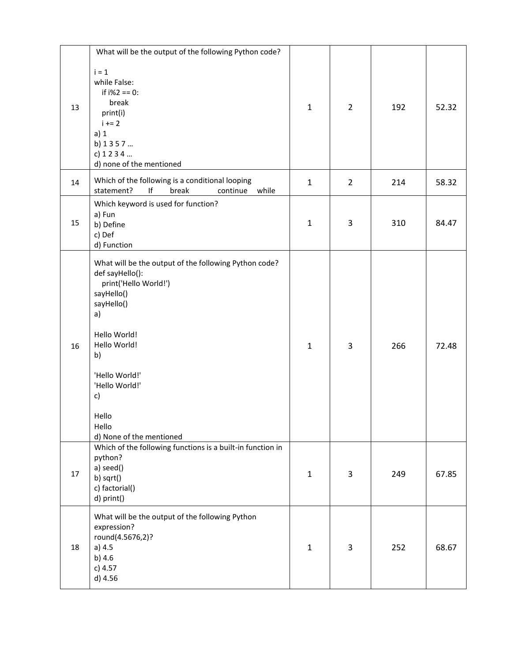|    | What will be the output of the following Python code?                                                                                                                                                                                                             |              |                |     |       |
|----|-------------------------------------------------------------------------------------------------------------------------------------------------------------------------------------------------------------------------------------------------------------------|--------------|----------------|-----|-------|
| 13 | $i = 1$<br>while False:<br>if $i\frac{1}{2} = 0$ :<br>break<br>print(i)<br>$i + 2$<br>a) 1<br>b) 1357<br>c) 1234<br>d) none of the mentioned                                                                                                                      | $\mathbf{1}$ | $\overline{2}$ | 192 | 52.32 |
| 14 | Which of the following is a conditional looping<br>statement?<br>$\sf l\sf f$<br>break<br>continue<br>while                                                                                                                                                       | $\mathbf{1}$ | $\overline{2}$ | 214 | 58.32 |
| 15 | Which keyword is used for function?<br>a) Fun<br>b) Define<br>c) Def<br>d) Function                                                                                                                                                                               | $\mathbf{1}$ | 3              | 310 | 84.47 |
| 16 | What will be the output of the following Python code?<br>def sayHello():<br>print('Hello World!')<br>sayHello()<br>sayHello()<br>a)<br>Hello World!<br>Hello World!<br>b)<br>'Hello World!'<br>'Hello World!'<br>c)<br>Hello<br>Hello<br>d) None of the mentioned | $\mathbf{1}$ | 3              | 266 | 72.48 |
| 17 | Which of the following functions is a built-in function in<br>python?<br>a) seed()<br>b) sqrt()<br>c) factorial()<br>d) print()                                                                                                                                   | $\mathbf{1}$ | 3              | 249 | 67.85 |
| 18 | What will be the output of the following Python<br>expression?<br>round(4.5676,2)?<br>a) 4.5<br>b) 4.6<br>c) 4.57<br>d) 4.56                                                                                                                                      | $\mathbf{1}$ | 3              | 252 | 68.67 |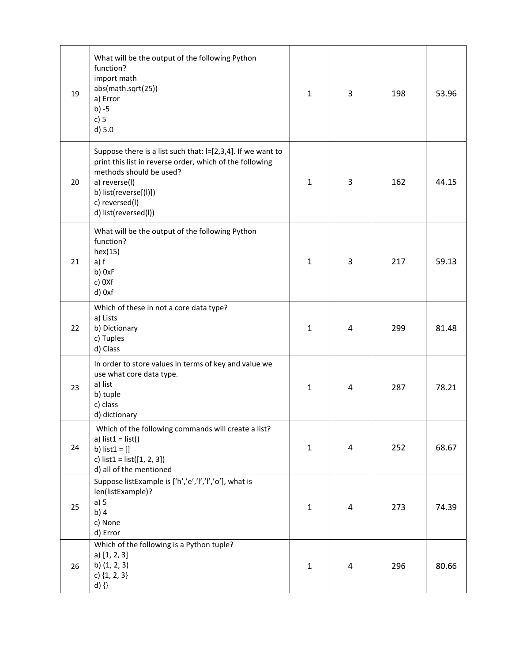| 19 | What will be the output of the following Python<br>function?<br>import math<br>abs(math.sqrt(25))<br>a) Error<br>$b) -5$<br>$c)$ 5<br>$d$ ) 5.0                                                                                        | 1            | 3              | 198 | 53.96 |
|----|----------------------------------------------------------------------------------------------------------------------------------------------------------------------------------------------------------------------------------------|--------------|----------------|-----|-------|
| 20 | Suppose there is a list such that: I=[2,3,4]. If we want to<br>print this list in reverse order, which of the following<br>methods should be used?<br>a) reverse(I)<br>b) list(reverse[(l)])<br>c) reversed(l)<br>d) list(reversed(l)) | $\mathbf{1}$ | 3              | 162 | 44.15 |
| 21 | What will be the output of the following Python<br>function?<br>hex(15)<br>$a)$ f<br>b) 0xF<br>c) OXf<br>d) 0xf                                                                                                                        | $\mathbf{1}$ | 3              | 217 | 59.13 |
| 22 | Which of these in not a core data type?<br>a) Lists<br>b) Dictionary<br>c) Tuples<br>d) Class                                                                                                                                          | $\mathbf{1}$ | 4              | 299 | 81.48 |
| 23 | In order to store values in terms of key and value we<br>use what core data type.<br>a) list<br>b) tuple<br>c) class<br>d) dictionary                                                                                                  | $\mathbf{1}$ | 4              | 287 | 78.21 |
| 24 | Which of the following commands will create a list?<br>a) $list1 = list()$<br>b) $list1 = []$<br>c) $list1 = list([1, 2, 3])$<br>d) all of the mentioned                                                                               | $\mathbf{1}$ | $\overline{4}$ | 252 | 68.67 |
| 25 | Suppose listExample is ['h','e','l','l','o'], what is<br>len(listExample)?<br>a) 5<br>b)4<br>c) None<br>d) Error                                                                                                                       | $\mathbf{1}$ | $\overline{4}$ | 273 | 74.39 |
| 26 | Which of the following is a Python tuple?<br>$a)$ [1, 2, 3]<br>b) $(1, 2, 3)$<br>c) $\{1, 2, 3\}$<br>$d)$ {}                                                                                                                           | $\mathbf{1}$ | $\overline{4}$ | 296 | 80.66 |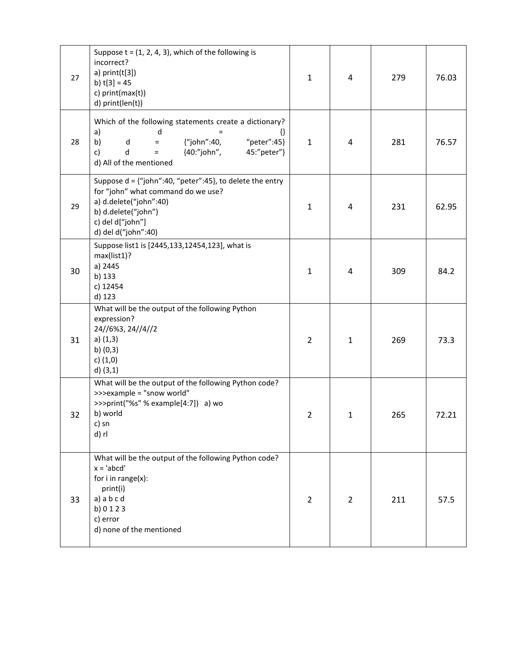| 27 | Suppose $t = (1, 2, 4, 3)$ , which of the following is<br>incorrect?<br>a) $print(t[3])$<br>b) $t[3] = 45$<br>c) print(max(t))<br>d) print(len(t))                                                | $\mathbf{1}$   | 4              | 279 | 76.03 |
|----|---------------------------------------------------------------------------------------------------------------------------------------------------------------------------------------------------|----------------|----------------|-----|-------|
| 28 | Which of the following statements create a dictionary?<br>a)<br>d<br>₩<br>{"john":40,<br>"peter":45}<br>b)<br>d<br>$=$<br>{40:"john",<br>45:"peter"}<br>c)<br>d<br>$=$<br>d) All of the mentioned | $\mathbf{1}$   | 4              | 281 | 76.57 |
| 29 | Suppose $d = \{$ "john":40, "peter":45}, to delete the entry<br>for "john" what command do we use?<br>a) d.delete("john":40)<br>b) d.delete("john")<br>c) del d["john"]<br>d) del d("john":40)    | $\mathbf{1}$   | 4              | 231 | 62.95 |
| 30 | Suppose list1 is [2445,133,12454,123], what is<br>max(list1)?<br>a) 2445<br>b) 133<br>c) 12454<br>d) 123                                                                                          | $\mathbf{1}$   | 4              | 309 | 84.2  |
| 31 | What will be the output of the following Python<br>expression?<br>24//6%3, 24//4//2<br>$a)$ (1,3)<br>b) $(0,3)$<br>c) $(1,0)$<br>$d)$ (3,1)                                                       | $\overline{2}$ | $\mathbf{1}$   | 269 | 73.3  |
| 32 | What will be the output of the following Python code?<br>>>>example = "snow world"<br>>>>print("%s" % example[4:7]) a) wo<br>b) world<br>c) sn<br>d) rl                                           | $\overline{2}$ | $\mathbf{1}$   | 265 | 72.21 |
| 33 | What will be the output of the following Python code?<br>$x = 'abcd'$<br>for $i$ in range $(x)$ :<br>print(i)<br>a) a b c d<br>b) 0 1 2 3<br>c) error<br>d) none of the mentioned                 | $\overline{2}$ | $\overline{2}$ | 211 | 57.5  |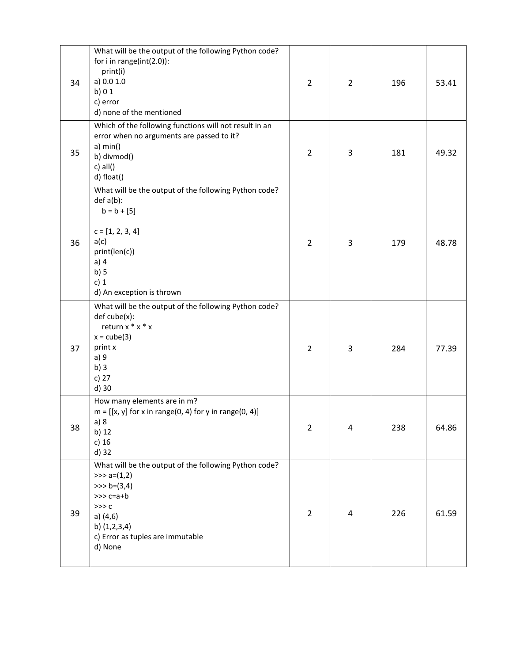| 34 | What will be the output of the following Python code?<br>for $i$ in range(int(2.0)):<br>print(i)<br>a) $0.0 1.0$<br>b) $01$<br>c) error<br>d) none of the mentioned                                  | $\overline{2}$ | $\overline{2}$ | 196 | 53.41 |
|----|------------------------------------------------------------------------------------------------------------------------------------------------------------------------------------------------------|----------------|----------------|-----|-------|
| 35 | Which of the following functions will not result in an<br>error when no arguments are passed to it?<br>a) min()<br>b) divmod()<br>$c)$ all()<br>d) float()                                           | $\overline{2}$ | 3              | 181 | 49.32 |
| 36 | What will be the output of the following Python code?<br>$def a(b)$ :<br>$b = b + [5]$<br>$c = [1, 2, 3, 4]$<br>a(c)<br>print(len(c))<br>$a)$ 4<br>b)5<br>c) $1$<br>d) An exception is thrown        | $\overline{2}$ | 3              | 179 | 48.78 |
| 37 | What will be the output of the following Python code?<br>def cube(x):<br>return $x * x * x$<br>$x = cube(3)$<br>print x<br>a) 9<br>b)3<br>c) $27$<br>d) 30                                           | 2              | 3              | 284 | 77.39 |
| 38 | How many elements are in m?<br>$m = [[x, y]$ for x in range(0, 4) for y in range(0, 4)]<br>a) 8<br>b) 12<br>c) $16$<br>d) 32                                                                         | $\overline{2}$ | 4              | 238 | 64.86 |
| 39 | What will be the output of the following Python code?<br>$\gg$ a= $(1,2)$<br>$>> b = (3, 4)$<br>$>>c=a+b$<br>$>>$ $c$<br>a) $(4,6)$<br>b) $(1,2,3,4)$<br>c) Error as tuples are immutable<br>d) None | $\overline{2}$ | 4              | 226 | 61.59 |